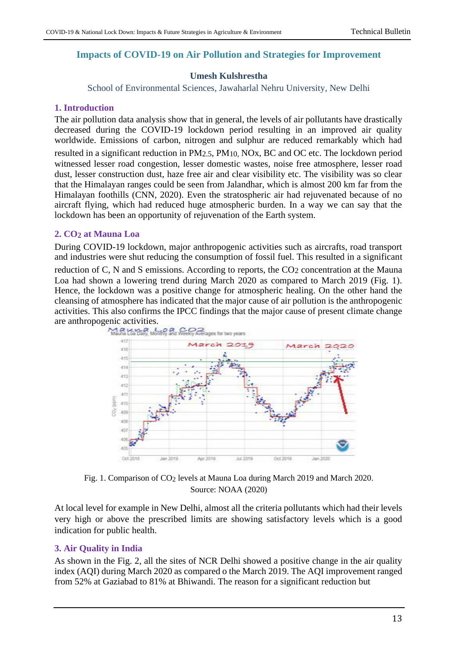# **Impacts of COVID-19 on Air Pollution and Strategies for Improvement**

#### **Umesh Kulshrestha**

School of Environmental Sciences, Jawaharlal Nehru University, New Delhi

#### **1. Introduction**

The air pollution data analysis show that in general, the levels of air pollutants have drastically decreased during the COVID-19 lockdown period resulting in an improved air quality worldwide. Emissions of carbon, nitrogen and sulphur are reduced remarkably which had resulted in a significant reduction in PM2.5, PM10, NOx, BC and OC etc. The lockdown period witnessed lesser road congestion, lesser domestic wastes, noise free atmosphere, lesser road dust, lesser construction dust, haze free air and clear visibility etc. The visibility was so clear that the Himalayan ranges could be seen from Jalandhar, which is almost 200 km far from the Himalayan foothills (CNN, 2020). Even the stratospheric air had rejuvenated because of no aircraft flying, which had reduced huge atmospheric burden. In a way we can say that the lockdown has been an opportunity of rejuvenation of the Earth system.

#### **2. CO2 at Mauna Loa**

During COVID-19 lockdown, major anthropogenic activities such as aircrafts, road transport and industries were shut reducing the consumption of fossil fuel. This resulted in a significant

reduction of C, N and S emissions. According to reports, the CO<sub>2</sub> concentration at the Mauna Loa had shown a lowering trend during March 2020 as compared to March 2019 (Fig. 1). Hence, the lockdown was a positive change for atmospheric healing. On the other hand the cleansing of atmosphere has indicated that the major cause of air pollution is the anthropogenic activities. This also confirms the IPCC findings that the major cause of present climate change are anthropogenic activities.



Fig. 1. Comparison of CO2 levels at Mauna Loa during March 2019 and March 2020. Source: NOAA (2020)

At local level for example in New Delhi, almost all the criteria pollutants which had their levels very high or above the prescribed limits are showing satisfactory levels which is a good indication for public health.

# **3. Air Quality in India**

As shown in the Fig. 2, all the sites of NCR Delhi showed a positive change in the air quality index (AQI) during March 2020 as compared o the March 2019. The AQI improvement ranged from 52% at Gaziabad to 81% at Bhiwandi. The reason for a significant reduction but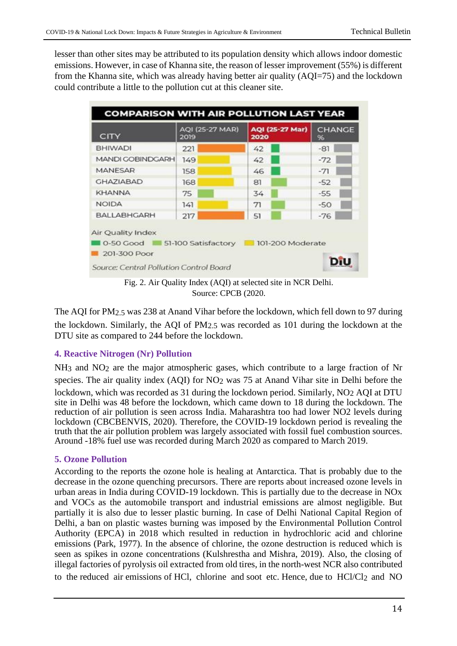lesser than other sites may be attributed to its population density which allows indoor domestic emissions. However, in case of Khanna site, the reason of lesser improvement (55%) is different from the Khanna site, which was already having better air quality (AQI=75) and the lockdown could contribute a little to the pollution cut at this cleaner site.

| CITY                    | AQI (25-27 MAR)<br>2019 | <b>AQI (25-27 Mar)</b><br>2020 | <b>CHANGE</b><br>96 |
|-------------------------|-------------------------|--------------------------------|---------------------|
| <b>BHIWADI</b>          | 221                     | 42                             | $-81$               |
| <b>MANDI GOBINDGARH</b> | 149                     | 42                             | $-72$               |
| <b>MANESAR</b>          | 158                     | 46                             | $-71$               |
| <b>GHAZIABAD</b>        | 168                     | 81                             | $-52$               |
| <b>KHANNA</b>           | 75                      | 34                             | $-55$               |
| <b>NOIDA</b>            | 141                     | 71                             | $-50$               |
| <b>BALLABHGARH</b>      | 217                     | 51                             | $-76$               |

Fig. 2. Air Quality Index (AQI) at selected site in NCR Delhi. Source: CPCB (2020.

The AQI for PM2.5 was 238 at Anand Vihar before the lockdown, which fell down to 97 during the lockdown. Similarly, the AQI of PM2.5 was recorded as 101 during the lockdown at the DTU site as compared to 244 before the lockdown.

# **4. Reactive Nitrogen (Nr) Pollution**

NH3 and NO2 are the major atmospheric gases, which contribute to a large fraction of Nr species. The air quality index (AQI) for NO2 was 75 at Anand Vihar site in Delhi before the lockdown, which was recorded as 31 during the lockdown period. Similarly, NO<sub>2</sub> AQI at DTU site in Delhi was 48 before the lockdown, which came down to 18 during the lockdown. The reduction of air pollution is seen across India. Maharashtra too had lower NO2 levels during lockdown (CBCBENVIS, 2020). Therefore, the COVID-19 lockdown period is revealing the truth that the air pollution problem was largely associated with fossil fuel combustion sources. Around -18% fuel use was recorded during March 2020 as compared to March 2019.

# **5. Ozone Pollution**

According to the reports the ozone hole is healing at Antarctica. That is probably due to the decrease in the ozone quenching precursors. There are reports about increased ozone levels in urban areas in India during COVID-19 lockdown. This is partially due to the decrease in NOx and VOCs as the automobile transport and industrial emissions are almost negligible. But partially it is also due to lesser plastic burning. In case of Delhi National Capital Region of Delhi, a ban on plastic wastes burning was imposed by the Environmental Pollution Control Authority (EPCA) in 2018 which resulted in reduction in hydrochloric acid and chlorine emissions (Park, 1977). In the absence of chlorine, the ozone destruction is reduced which is seen as spikes in ozone concentrations (Kulshrestha and Mishra, 2019). Also, the closing of illegal factories of pyrolysis oil extracted from old tires, in the north-west NCR also contributed to the reduced air emissions of HCl, chlorine and soot etc. Hence, due to HCl/Cl2 and NO